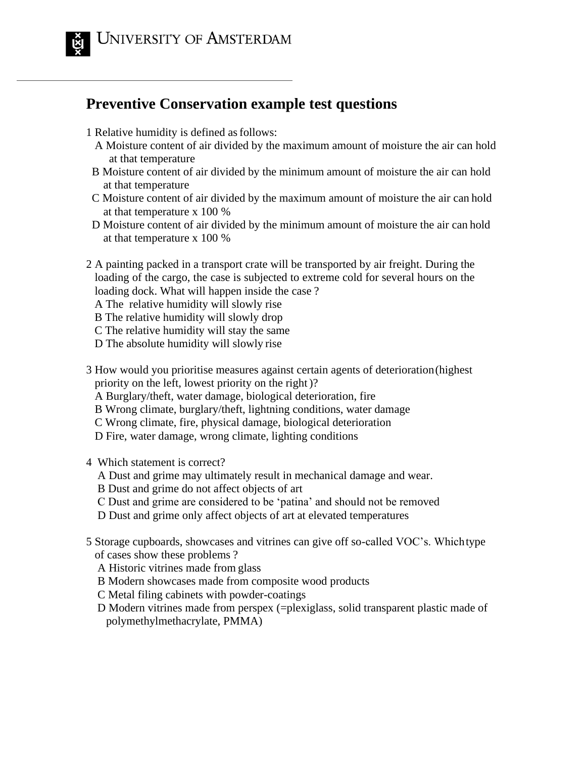

## **Preventive Conservation example test questions**

- 1 Relative humidity is defined asfollows:
	- A Moisture content of air divided by the maximum amount of moisture the air can hold at that temperature
	- B Moisture content of air divided by the minimum amount of moisture the air can hold at that temperature
	- C Moisture content of air divided by the maximum amount of moisture the air can hold at that temperature x 100 %
- D Moisture content of air divided by the minimum amount of moisture the air can hold at that temperature x 100 %
- 2 A painting packed in a transport crate will be transported by air freight. During the loading of the cargo, the case is subjected to extreme cold for several hours on the loading dock. What will happen inside the case ?
	- A The relative humidity will slowly rise
	- B The relative humidity will slowly drop
	- C The relative humidity will stay the same
	- D The absolute humidity will slowly rise
- 3 How would you prioritise measures against certain agents of deterioration(highest priority on the left, lowest priority on the right)?
	- A Burglary/theft, water damage, biological deterioration, fire
	- B Wrong climate, burglary/theft, lightning conditions, water damage
	- C Wrong climate, fire, physical damage, biological deterioration
	- D Fire, water damage, wrong climate, lighting conditions

4 Which statement is correct?

- A Dust and grime may ultimately result in mechanical damage and wear.
- B Dust and grime do not affect objects of art
- C Dust and grime are considered to be 'patina' and should not be removed
- D Dust and grime only affect objects of art at elevated temperatures
- 5 Storage cupboards, showcases and vitrines can give off so-called VOC's. Whichtype of cases show these problems ?
	- A Historic vitrines made from glass
	- B Modern showcases made from composite wood products
	- C Metal filing cabinets with powder-coatings
	- D Modern vitrines made from perspex (=plexiglass, solid transparent plastic made of polymethylmethacrylate, PMMA)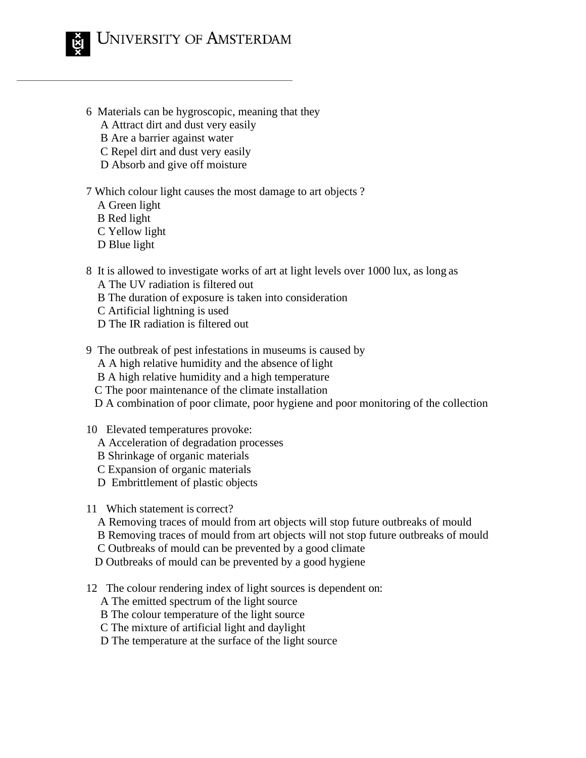

- 6 Materials can be hygroscopic, meaning that they
	- A Attract dirt and dust very easily
	- B Are a barrier against water
	- C Repel dirt and dust very easily
	- D Absorb and give off moisture
- 7 Which colour light causes the most damage to art objects ?
	- A Green light
	- B Red light
	- C Yellow light
	- D Blue light
- 8 It is allowed to investigate works of art at light levels over 1000 lux, as long as A The UV radiation is filtered out
	- B The duration of exposure is taken into consideration
	- C Artificial lightning is used
	- D The IR radiation is filtered out
- 9 The outbreak of pest infestations in museums is caused by
	- A A high relative humidity and the absence of light
	- B A high relative humidity and a high temperature
	- C The poor maintenance of the climate installation
	- D A combination of poor climate, poor hygiene and poor monitoring of the collection
- 10 Elevated temperatures provoke:
	- A Acceleration of degradation processes
	- B Shrinkage of organic materials
	- C Expansion of organic materials
	- D Embrittlement of plastic objects
- 11 Which statement is correct?
	- A Removing traces of mould from art objects will stop future outbreaks of mould
	- B Removing traces of mould from art objects will not stop future outbreaks of mould
	- C Outbreaks of mould can be prevented by a good climate
	- D Outbreaks of mould can be prevented by a good hygiene
- 12 The colour rendering index of light sources is dependent on:
	- A The emitted spectrum of the light source
	- B The colour temperature of the light source
	- C The mixture of artificial light and daylight
	- D The temperature at the surface of the light source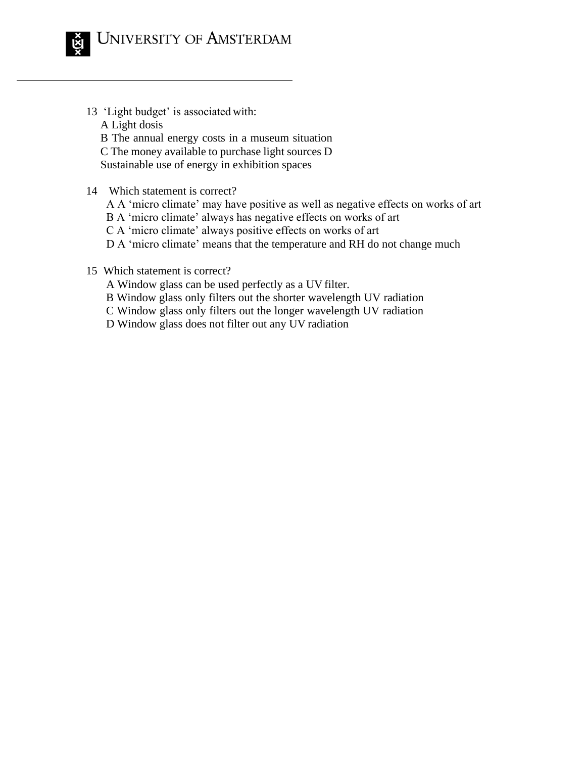

- 13 'Light budget' is associated with: A Light dosis B The annual energy costs in a museum situation C The money available to purchase light sources D Sustainable use of energy in exhibition spaces
- 14 Which statement is correct?
	- A A 'micro climate' may have positive as well as negative effects on works of art B A 'micro climate' always has negative effects on works of art C A 'micro climate' always positive effects on works of art D A 'micro climate' means that the temperature and RH do not change much
- 15 Which statement is correct?
	- A Window glass can be used perfectly as a UV filter.
	- B Window glass only filters out the shorter wavelength UV radiation
	- C Window glass only filters out the longer wavelength UV radiation
	- D Window glass does not filter out any UV radiation